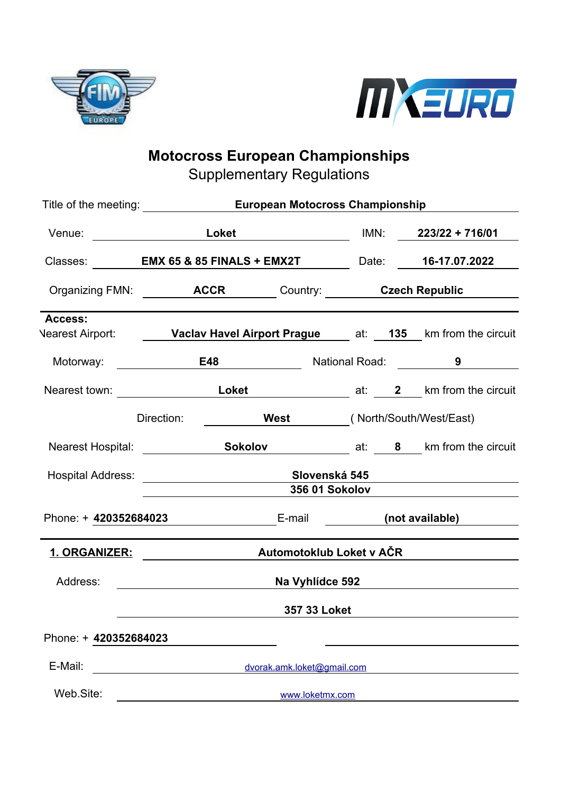



# **Motocross European Championships**

Supplementary Regulations

|                                                                                                                       | Title of the meeting: <b>European Motocross Championship</b> |                                                                    |                                                           |                       |  |                                                                                 |
|-----------------------------------------------------------------------------------------------------------------------|--------------------------------------------------------------|--------------------------------------------------------------------|-----------------------------------------------------------|-----------------------|--|---------------------------------------------------------------------------------|
|                                                                                                                       |                                                              |                                                                    |                                                           |                       |  |                                                                                 |
|                                                                                                                       |                                                              | Classes: <b>EMX 65 &amp; 85 FINALS + EMX2T</b> Date: 16-17.07.2022 |                                                           |                       |  |                                                                                 |
|                                                                                                                       |                                                              | Organizing FMN: <b>ACCR</b> Country: Care Czech Republic           |                                                           |                       |  |                                                                                 |
| Access:                                                                                                               |                                                              |                                                                    |                                                           |                       |  |                                                                                 |
|                                                                                                                       |                                                              |                                                                    |                                                           |                       |  | Vearest Airport: <b>Vaclav Havel Airport Prague</b> at: 135 km from the circuit |
| Motorway: <u>______________</u>                                                                                       |                                                              | E48                                                                |                                                           |                       |  | National Road: <b>9</b>                                                         |
|                                                                                                                       |                                                              |                                                                    |                                                           |                       |  |                                                                                 |
|                                                                                                                       | Direction:                                                   |                                                                    | <b>West</b> (North/South/West/East)                       |                       |  |                                                                                 |
|                                                                                                                       |                                                              |                                                                    |                                                           |                       |  | Nearest Hospital: Sokolov at: 8 km from the circuit                             |
| Hospital Address: _________________________________Slovenská 545                                                      |                                                              |                                                                    | <u> 1989 - Andrea Station Books, amerikansk politik (</u> |                       |  |                                                                                 |
|                                                                                                                       |                                                              |                                                                    |                                                           | <b>356 01 Sokolov</b> |  |                                                                                 |
| Phone: + 420352684023                                                                                                 |                                                              |                                                                    | E-mail (not available)                                    |                       |  |                                                                                 |
| <u>1. ORGANIZER: with a set of the set of the set of the set of the set of the set of the set of the set of the s</u> |                                                              |                                                                    | Automotoklub Loket v AČR                                  |                       |  |                                                                                 |
| Address:                                                                                                              | Na Vyhlídce 592                                              |                                                                    |                                                           |                       |  |                                                                                 |
|                                                                                                                       |                                                              |                                                                    | 357 33 Loket                                              |                       |  |                                                                                 |
| Phone: + 420352684023                                                                                                 |                                                              |                                                                    |                                                           |                       |  |                                                                                 |
| E-Mail:                                                                                                               |                                                              |                                                                    | dvorak.amk.loket@gmail.com                                |                       |  |                                                                                 |
| Web.Site:                                                                                                             | www.loketmx.com                                              |                                                                    |                                                           |                       |  |                                                                                 |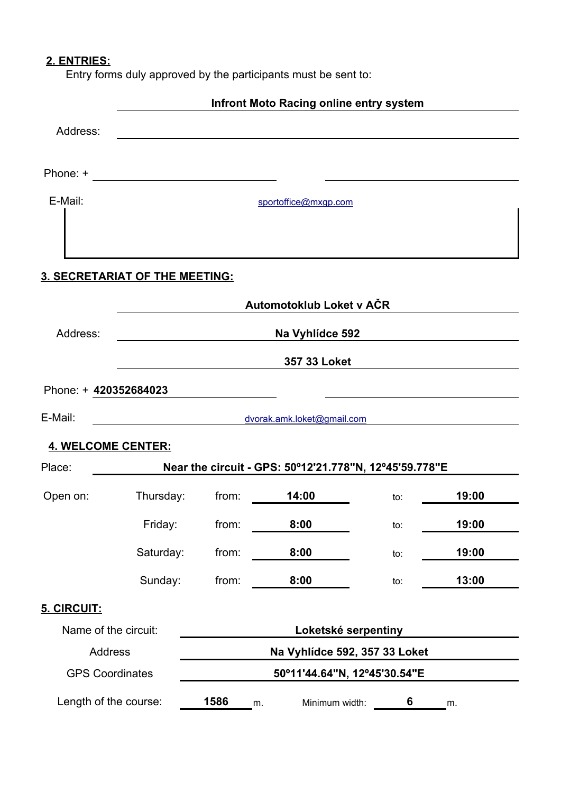# **2. ENTRIES:**

Entry forms duly approved by the participants must be sent to:

|                           |                                                                            |                              | Infront Moto Racing online entry system                |     |       |  |
|---------------------------|----------------------------------------------------------------------------|------------------------------|--------------------------------------------------------|-----|-------|--|
| Address:                  |                                                                            |                              |                                                        |     |       |  |
| Phone: +                  | the control of the control of the control of the control of the control of |                              |                                                        |     |       |  |
| E-Mail:                   |                                                                            |                              | sportoffice@mxgp.com                                   |     |       |  |
|                           |                                                                            |                              |                                                        |     |       |  |
|                           | <b>3. SECRETARIAT OF THE MEETING:</b>                                      |                              |                                                        |     |       |  |
|                           |                                                                            |                              | Automotoklub Loket v AČR                               |     |       |  |
| Address:                  |                                                                            | Na Vyhlídce 592              |                                                        |     |       |  |
|                           |                                                                            |                              | 357 33 Loket                                           |     |       |  |
| Phone: + 420352684023     |                                                                            |                              |                                                        |     |       |  |
| E-Mail:                   |                                                                            |                              | dvorak.amk.loket@gmail.com                             |     |       |  |
| <b>4. WELCOME CENTER:</b> |                                                                            |                              |                                                        |     |       |  |
| Place:                    |                                                                            |                              | Near the circuit - GPS: 50°12'21.778"N, 12°45'59.778"E |     |       |  |
| Open on:                  | Thursday:                                                                  | from:                        | 14:00                                                  | to: | 19:00 |  |
|                           | Friday:                                                                    | from:                        | 8:00                                                   | to: | 19:00 |  |
|                           | Saturday:                                                                  | from:                        | 8:00                                                   | to: | 19:00 |  |
|                           | Sunday:                                                                    | from:                        | 8:00                                                   | to: | 13:00 |  |
| 5. CIRCUIT:               |                                                                            |                              |                                                        |     |       |  |
| Name of the circuit:      |                                                                            |                              | Loketské serpentiny                                    |     |       |  |
| <b>Address</b>            |                                                                            |                              | Na Vyhlídce 592, 357 33 Loket                          |     |       |  |
| <b>GPS Coordinates</b>    |                                                                            | 50°11'44.64"N, 12°45'30.54"E |                                                        |     |       |  |
| Length of the course:     |                                                                            | 1586                         | Minimum width:<br>m.                                   | 6   | m.    |  |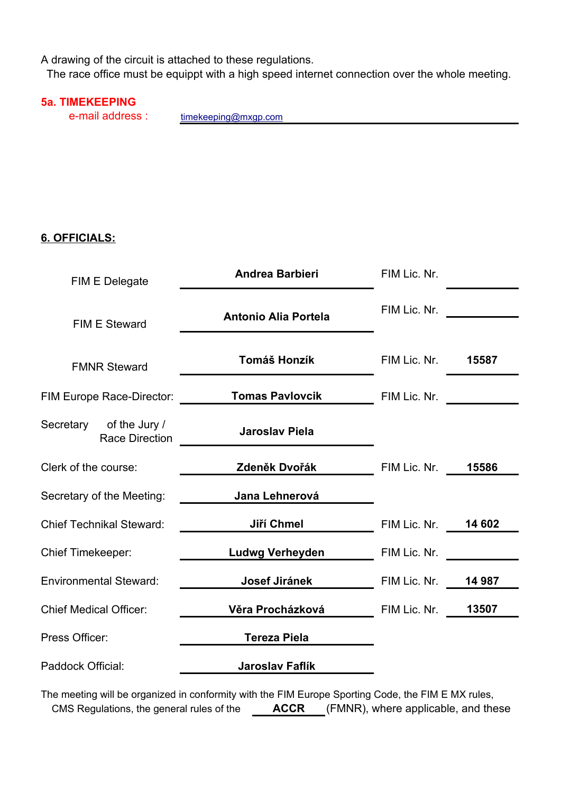A drawing of the circuit is attached to these regulations.

The race office must be equippt with a high speed internet connection over the whole meeting.

#### **5a. TIMEKEEPING**

e-mail address :

[timekeeping@mxgp.com](mailto:timekeeping@mxgp.com)

## **6. OFFICIALS:**

| <b>Antonio Alia Portela</b> | FIM Lic. Nr. |                                                                                                  |
|-----------------------------|--------------|--------------------------------------------------------------------------------------------------|
| Tomáš Honzík                |              | 15587                                                                                            |
| <b>Tomas Pavlovcik</b>      | FIM Lic. Nr. |                                                                                                  |
| <b>Jaroslav Piela</b>       |              |                                                                                                  |
|                             |              | 15586                                                                                            |
| Jana Lehnerová              |              |                                                                                                  |
| Jiří Chmel                  |              |                                                                                                  |
| <b>Ludwg Verheyden</b>      | FIM Lic. Nr. |                                                                                                  |
| Josef Jiránek               |              |                                                                                                  |
| Věra Procházková            |              | 13507                                                                                            |
| <b>Tereza Piela</b>         |              |                                                                                                  |
| <b>Jaroslav Faflík</b>      |              |                                                                                                  |
|                             |              | FIM Lic. Nr.<br><b>Zdeněk Dvořák Marský FIM Lic. Nr.</b><br>FIM Lic. Nr.  14 987<br>FIM Lic. Nr. |

The meeting will be organized in conformity with the FIM Europe Sporting Code, the FIM E MX rules, CMS Regulations, the general rules of the **ACCR** (FMNR), where applicable, and these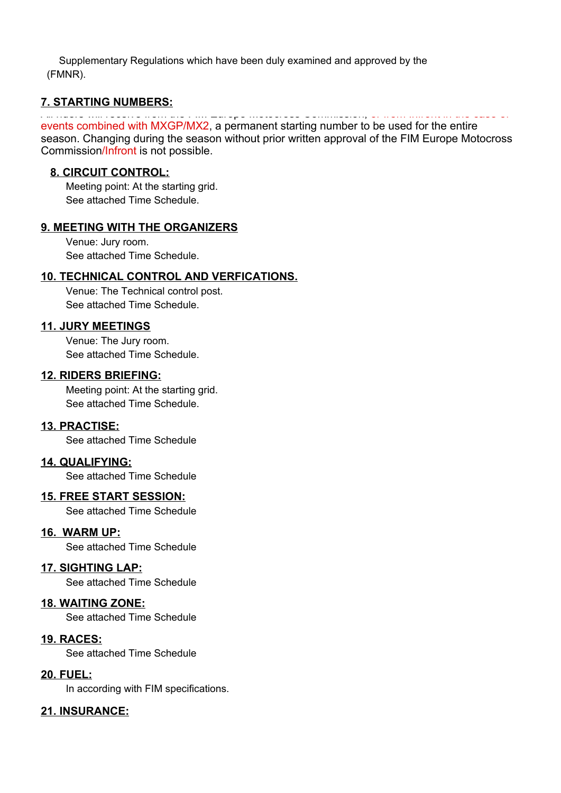Supplementary Regulations which have been duly examined and approved by the (FMNR).

#### **7. STARTING NUMBERS:**

#### All riders will receive from the FIM Europe Motocross Commission, or from Infront in the case of events combined with MXGP/MX2, a permanent starting number to be used for the entire

season. Changing during the season without prior written approval of the FIM Europe Motocross Commission/Infront is not possible.

#### **8. CIRCUIT CONTROL:**

Meeting point: At the starting grid. See attached Time Schedule.

#### **9. MEETING WITH THE ORGANIZERS**

Venue: Jury room. See attached Time Schedule.

### **10. TECHNICAL CONTROL AND VERFICATIONS.**

Venue: The Technical control post. See attached Time Schedule.

#### **11. JURY MEETINGS**

Venue: The Jury room. See attached Time Schedule.

#### **12. RIDERS BRIEFING:**

Meeting point: At the starting grid. See attached Time Schedule.

#### **13. PRACTISE:**

See attached Time Schedule

#### **14. QUALIFYING:**

See attached Time Schedule

### **15. FREE START SESSION:**

See attached Time Schedule

#### **16. WARM UP:**

See attached Time Schedule

#### **17. SIGHTING LAP:**

See attached Time Schedule

#### **18. WAITING ZONE:**

See attached Time Schedule

#### **19. RACES:**

See attached Time Schedule

#### **20. FUEL:**

In according with FIM specifications.

### **21. INSURANCE:**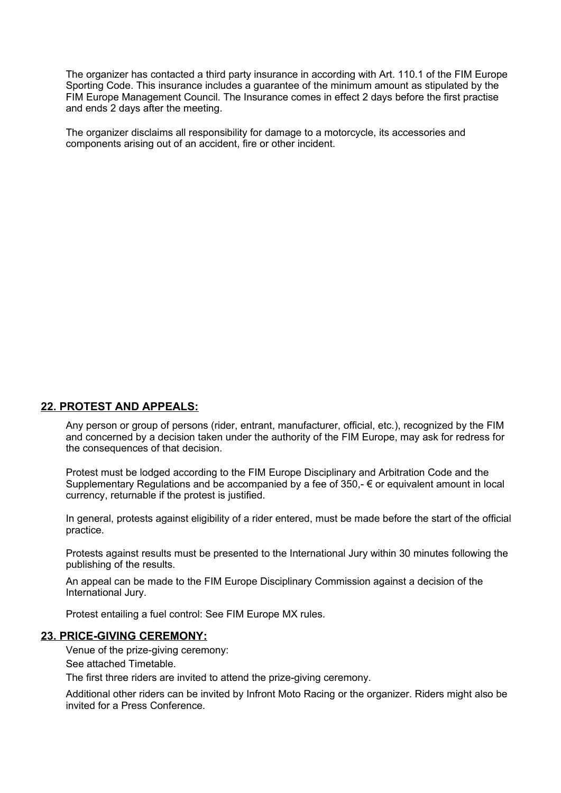The organizer has contacted a third party insurance in according with Art. 110.1 of the FIM Europe Sporting Code. This insurance includes a guarantee of the minimum amount as stipulated by the FIM Europe Management Council. The Insurance comes in effect 2 days before the first practise and ends 2 days after the meeting.

The organizer disclaims all responsibility for damage to a motorcycle, its accessories and components arising out of an accident, fire or other incident.

#### **22. PROTEST AND APPEALS:**

Any person or group of persons (rider, entrant, manufacturer, official, etc.), recognized by the FIM and concerned by a decision taken under the authority of the FIM Europe, may ask for redress for the consequences of that decision.

Protest must be lodged according to the FIM Europe Disciplinary and Arbitration Code and the Supplementary Regulations and be accompanied by a fee of  $350 - \epsilon$  or equivalent amount in local currency, returnable if the protest is justified.

In general, protests against eligibility of a rider entered, must be made before the start of the official practice.

Protests against results must be presented to the International Jury within 30 minutes following the publishing of the results.

An appeal can be made to the FIM Europe Disciplinary Commission against a decision of the International Jury.

Protest entailing a fuel control: See FIM Europe MX rules.

#### **23. PRICE-GIVING CEREMONY:**

Venue of the prize-giving ceremony:

See attached Timetable.

The first three riders are invited to attend the prize-giving ceremony.

Additional other riders can be invited by Infront Moto Racing or the organizer. Riders might also be invited for a Press Conference.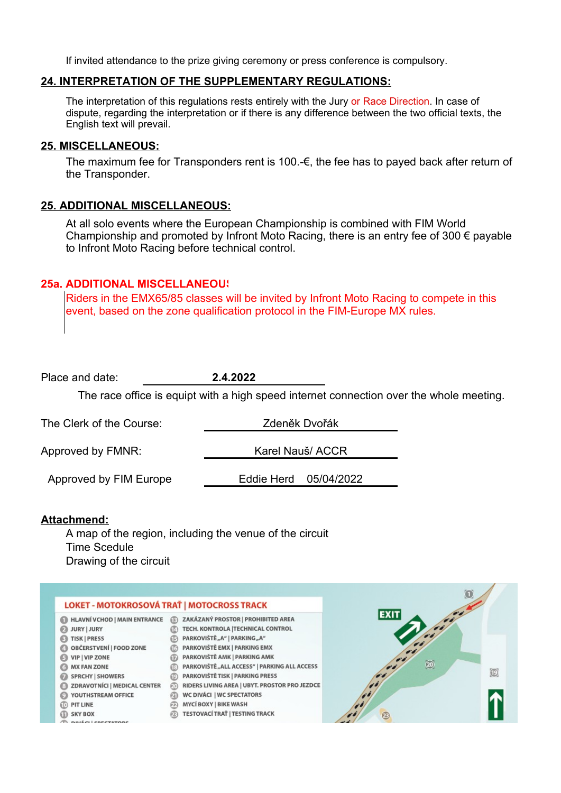If invited attendance to the prize giving ceremony or press conference is compulsory.

#### **24. INTERPRETATION OF THE SUPPLEMENTARY REGULATIONS:**

The interpretation of this regulations rests entirely with the Jury or Race Direction. In case of dispute, regarding the interpretation or if there is any difference between the two official texts, the English text will prevail.

#### **25. MISCELLANEOUS:**

The maximum fee for Transponders rent is 100.-€, the fee has to payed back after return of the Transponder.

#### **25. ADDITIONAL MISCELLANEOUS:**

At all solo events where the European Championship is combined with FIM World Championship and promoted by Infront Moto Racing, there is an entry fee of 300  $\epsilon$  payable to Infront Moto Racing before technical control.

### **25a. ADDITIONAL MISCELLANEOUS**

Riders in the EMX65/85 classes will be invited by Infront Moto Racing to compete in this event, based on the zone qualification protocol in the FIM-Europe MX rules.

| Place and date:                                                                                                                                                                                                                                                                                                                                  | 2.4.2022                                                                                                                                                                                                                                                                                                                                                                                                                |                                                                                         |
|--------------------------------------------------------------------------------------------------------------------------------------------------------------------------------------------------------------------------------------------------------------------------------------------------------------------------------------------------|-------------------------------------------------------------------------------------------------------------------------------------------------------------------------------------------------------------------------------------------------------------------------------------------------------------------------------------------------------------------------------------------------------------------------|-----------------------------------------------------------------------------------------|
|                                                                                                                                                                                                                                                                                                                                                  |                                                                                                                                                                                                                                                                                                                                                                                                                         | The race office is equipt with a high speed internet connection over the whole meeting. |
| The Clerk of the Course:                                                                                                                                                                                                                                                                                                                         |                                                                                                                                                                                                                                                                                                                                                                                                                         | Zdeněk Dvořák                                                                           |
| Approved by FMNR:                                                                                                                                                                                                                                                                                                                                |                                                                                                                                                                                                                                                                                                                                                                                                                         | Karel Nauš/ ACCR                                                                        |
| Approved by FIM Europe                                                                                                                                                                                                                                                                                                                           | Eddie Herd                                                                                                                                                                                                                                                                                                                                                                                                              | 05/04/2022                                                                              |
| Attachmend:<br>A map of the region, including the venue of the circuit<br><b>Time Scedule</b><br>Drawing of the circuit                                                                                                                                                                                                                          |                                                                                                                                                                                                                                                                                                                                                                                                                         |                                                                                         |
| LOKET - MOTOKROSOVÁ TRAŤ   MOTOCROSS TRACK                                                                                                                                                                                                                                                                                                       |                                                                                                                                                                                                                                                                                                                                                                                                                         |                                                                                         |
| <b>HLAVNÍ VCHOD   MAIN ENTRANCE</b><br><b>JURY   JURY</b><br>ø<br><b>TISK   PRESS</b><br>OBČERSTVENÍ   FOOD ZONE<br><b>VIP   VIP ZONE</b><br><b>MX FAN ZONE</b><br><b>SPRCHY   SHOWERS</b><br>ര<br><b>ZDRAVOTNÍCI   MEDICAL CENTER</b><br>(20)<br>YOUTHSTREAM OFFICE<br>മെ<br><b>PIT LINE</b><br><b>III</b> SKY BOX<br><b>NILLELL COECTATING</b> | ZAKÁZANÝ PROSTOR   PROHIBITED AREA<br>TECH. KONTROLA   TECHNICAL CONTROL<br>PARKOVIŠTĚ"A"   PARKING"A"<br>PARKOVIŠTĚ EMX   PARKING EMX<br>PARKOVIŠTĚ AMK   PARKING AMK<br>PARKOVIŠTĚ, ALL ACCESS"   PARKING ALL ACCESS<br>PARKOVIŠTĚ TISK   PARKING PRESS<br>RIDERS LIVING AREA   UBYT. PROSTOR PRO JEZDCE<br><b>WC DIVÁCI   WC SPECTATORS</b><br><b>MYCÍ BOXY   BIKE WASH</b><br><b>TESTOVACÍ TRAŤ   TESTING TRACK</b> | <b>EXIT</b><br>ම<br>$\bigcirc$<br>23                                                    |